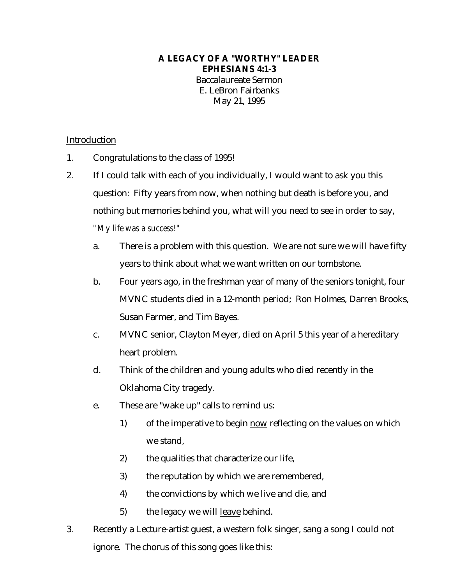## **A LEGACY OF A "WORTHY" LEADER EPHESIANS 4:1-3**

Baccalaureate Sermon E. LeBron Fairbanks May 21, 1995

## Introduction

- 1. Congratulations to the class of 1995!
- 2. If I could talk with each of you individually, I would want to ask you this question: Fifty years from now, when nothing but death is before you, and nothing but memories behind you, what will you need to see in order to say, *"My life was a success!"*
	- a. There is a problem with this question. We are not sure we will have fifty years to think about what we want written on our tombstone.
	- b. Four years ago, in the freshman year of many of the seniors tonight, four MVNC students died in a 12-month period; Ron Holmes, Darren Brooks, Susan Farmer, and Tim Bayes.
	- c. MVNC senior, Clayton Meyer, died on April 5 this year of a hereditary heart problem.
	- d. Think of the children and young adults who died recently in the Oklahoma City tragedy.
	- e. These are "wake up" calls to remind us:
		- 1) of the imperative to begin now reflecting on the values on which we stand,
		- 2) the qualities that characterize our life,
		- 3) the reputation by which we are remembered,
		- 4) the convictions by which we live and die, and
		- 5) the legacy we will leave behind.
- 3. Recently a Lecture-artist guest, a western folk singer, sang a song I could not ignore. The chorus of this song goes like this: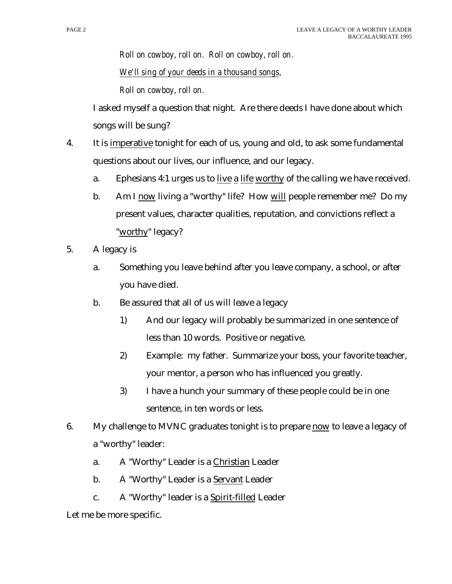*Roll on cowboy, roll on. Roll on cowboy, roll on. We'll sing of your deeds in a thousand songs, Roll on cowboy, roll on.*

I asked myself a question that night. Are there deeds I have done about which songs will be sung?

- 4. It is imperative tonight for each of us, young and old, to ask some fundamental questions about our lives, our influence, and our legacy.
	- a. Ephesians 4:1 urges us to live a life worthy of the calling we have received.
	- b. Am I now living a "worthy" life? How will people remember me? Do my present values, character qualities, reputation, and convictions reflect a "worthy" legacy?
- 5. A legacy is
	- a. Something you leave behind after you leave company, a school, or after you have died.
	- b. Be assured that all of us will leave a legacy
		- 1) And our legacy will probably be summarized in one sentence of less than 10 words. Positive or negative.
		- 2) Example: my father. Summarize your boss, your favorite teacher, your mentor, a person who has influenced you greatly.
		- 3) I have a hunch your summary of these people could be in one sentence, in ten words or less.
- 6. My challenge to MVNC graduates tonight is to prepare now to leave a legacy of a "worthy" leader:
	- a. A "Worthy" Leader is a Christian Leader
	- b. A "Worthy" Leader is a Servant Leader
	- c. A "Worthy" leader is a Spirit-filled Leader

Let me be more specific.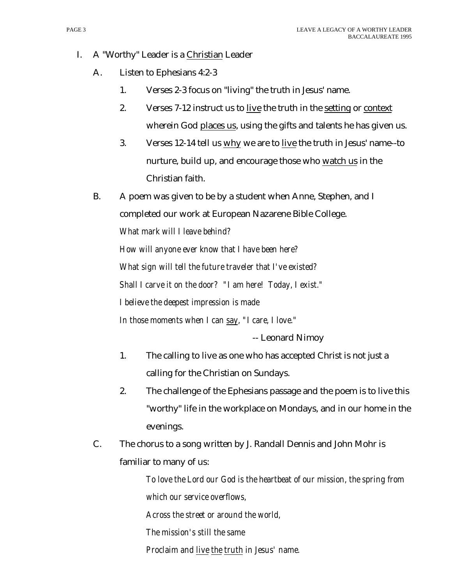- I. A "Worthy" Leader is a Christian Leader
	- A. Listen to Ephesians 4:2-3
		- 1. Verses 2-3 focus on "living" the truth in Jesus' name.
		- 2. Verses 7-12 instruct us to live the truth in the setting or context wherein God places us, using the gifts and talents he has given us.
		- 3. Verses 12-14 tell us why we are to live the truth in Jesus' name--to nurture, build up, and encourage those who watch us in the Christian faith.
	- B. A poem was given to be by a student when Anne, Stephen, and I completed our work at European Nazarene Bible College. *What mark will I leave behind? How will anyone ever know that I have been here? What sign will tell the future traveler that I've existed? Shall I carve it on the door? "I am here! Today, I exist." I believe the deepest impression is made In those moments when I can say, "I care, I love."*

-- Leonard Nimoy

- 1. The calling to live as one who has accepted Christ is not just a calling for the Christian on Sundays.
- 2. The challenge of the Ephesians passage and the poem is to live this "worthy" life in the workplace on Mondays, and in our home in the evenings.
- C. The chorus to a song written by J. Randall Dennis and John Mohr is familiar to many of us:

*To love the Lord our God is the heartbeat of our mission, the spring from which our service overflows, Across the street or around the world, The mission's still the same*

*Proclaim and live the truth in Jesus' name.*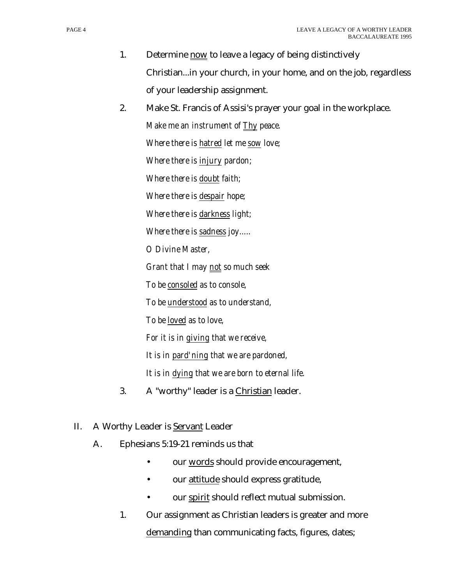1. Determine <u>now</u> to leave a legacy of being distinctively Christian...in your church, in your home, and on the job, regardless of your leadership assignment.

2. Make St. Francis of Assisi's prayer your goal in the workplace. *Make me an instrument of Thy peace. Where there is hatred let me sow love; Where there is injury pardon; Where there is doubt faith; Where there is despair hope; Where there is darkness light; Where there is sadness joy..... O Divine Master, Grant that I may not so much seek To be consoled as to console, To be understood as to understand, To be loved as to love, For it is in giving that we receive, It is in pard'ning that we are pardoned, It is in dying that we are born to eternal life.* 3. A "worthy" leader is a Christian leader.

- II. A Worthy Leader is Servant Leader
	- A. Ephesians 5:19-21 reminds us that
		- our words should provide encouragement,
		- our attitude should express gratitude,
		- our spirit should reflect mutual submission.
		- 1. Our assignment as Christian leaders is greater and more demanding than communicating facts, figures, dates;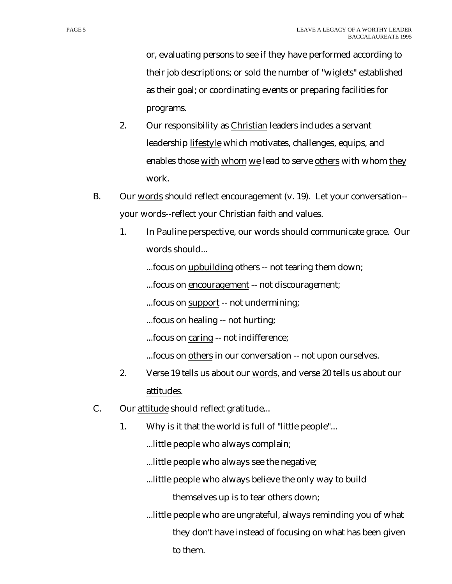or, evaluating persons to see if they have performed according to their job descriptions; or sold the number of "wiglets" established as their goal; or coordinating events or preparing facilities for programs.

- 2. Our responsibility as Christian leaders includes a servant leadership lifestyle which motivates, challenges, equips, and enables those with whom we <u>lead</u> to serve others with whom they work.
- B. Our words should reflect encouragement (v. 19). Let your conversation- your words--reflect your Christian faith and values.
	- 1. In Pauline perspective, our words should communicate grace. Our words should...
		- ...focus on upbuilding others -- not tearing them down;
		- ...focus on encouragement -- not discouragement;
		- ...focus on support -- not undermining;
		- ...focus on healing -- not hurting;
		- ...focus on caring -- not indifference;
		- ...focus on others in our conversation -- not upon ourselves.
	- 2. Verse 19 tells us about our words, and verse 20 tells us about our attitudes.
- C. Our attitude should reflect gratitude...
	- 1. Why is it that the world is full of "little people"...
		- ...little people who always complain;
		- ...little people who always see the negative;
		- ...little people who always believe the only way to build

themselves up is to tear others down;

...little people who are ungrateful, always reminding you of what they don't have instead of focusing on what has been given to them.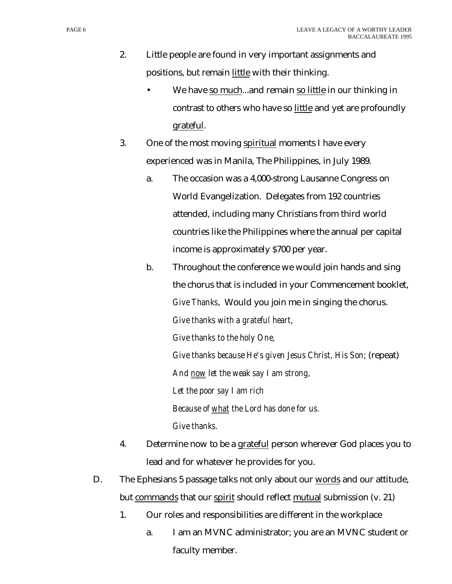- 2. Little people are found in very important assignments and positions, but remain little with their thinking.
	- We have so much...and remain so little in our thinking in contrast to others who have so little and yet are profoundly grateful.
- 3. One of the most moving spiritual moments I have every experienced was in Manila, The Philippines, in July 1989.
	- a. The occasion was a 4,000-strong Lausanne Congress on World Evangelization. Delegates from 192 countries attended, including many Christians from third world countries like the Philippines where the annual per capital income is approximately \$700 per year.
	- b. Throughout the conference we would join hands and sing the chorus that is included in your Commencement booklet, *Give Thanks*, Would you join me in singing the chorus. *Give thanks with a grateful heart, Give thanks to the holy One, Give thanks because He's given Jesus Christ, His Son;* (repeat) *And now let the weak say I am strong, Let the poor say I am rich Because of what the Lord has done for us. Give thanks.*
- 4. Determine now to be a grateful person wherever God places you to lead and for whatever he provides for you.
- D. The Ephesians 5 passage talks not only about our words and our attitude, but commands that our spirit should reflect mutual submission (v. 21)
	- 1. Our roles and responsibilities are different in the workplace
		- a. I am an MVNC administrator; you are an MVNC student or faculty member.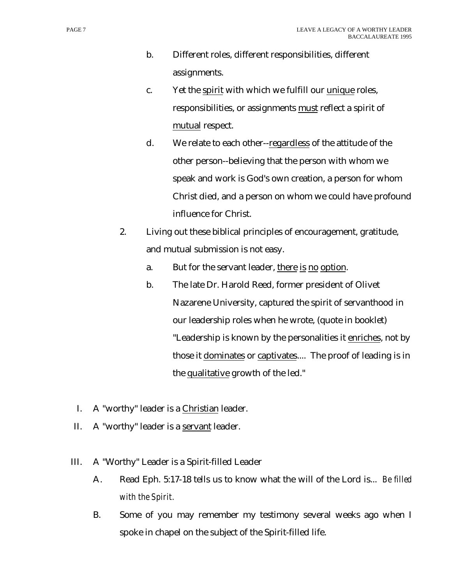- b. Different roles, different responsibilities, different assignments.
- c. Yet the spirit with which we fulfill our unique roles, responsibilities, or assignments must reflect a spirit of mutual respect.
- d. We relate to each other--regardless of the attitude of the other person--believing that the person with whom we speak and work is God's own creation, a person for whom Christ died, and a person on whom we could have profound influence for Christ.
- 2. Living out these biblical principles of encouragement, gratitude, and mutual submission is not easy.
	- a. But for the servant leader, there is no option.
	- b. The late Dr. Harold Reed, former president of Olivet Nazarene University, captured the spirit of servanthood in our leadership roles when he wrote, (quote in booklet) "Leadership is known by the personalities it enriches, not by those it dominates or captivates.... The proof of leading is in the qualitative growth of the led."
- I. A "worthy" leader is a Christian leader.
- II. A "worthy" leader is a servant leader.
- III. A "Worthy" Leader is a Spirit-filled Leader
	- A. Read Eph. 5:17-18 tells us to know what the will of the Lord is... *Be filled with the Spirit.*
	- B. Some of you may remember my testimony several weeks ago when I spoke in chapel on the subject of the Spirit-filled life.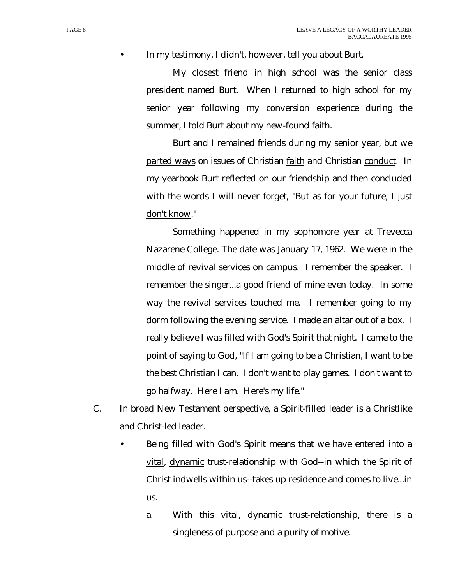PAGE 8 LEAVE A LEGACY OF A WORTHY LEADER BACCALAUREATE 1995

• In my testimony, I didn't, however, tell you about Burt.

My closest friend in high school was the senior class president named Burt. When I returned to high school for my senior year following my conversion experience during the summer, I told Burt about my new-found faith.

Burt and I remained friends during my senior year, but we parted ways on issues of Christian faith and Christian conduct. In my yearbook Burt reflected on our friendship and then concluded with the words I will never forget, "But as for your future, I just don't know."

Something happened in my sophomore year at Trevecca Nazarene College. The date was January 17, 1962. We were in the middle of revival services on campus. I remember the speaker. I remember the singer...a good friend of mine even today. In some way the revival services touched me. I remember going to my dorm following the evening service. I made an altar out of a box. I really believe I was filled with God's Spirit that night. I came to the point of saying to God, "If I am going to be a Christian, I want to be the best Christian I can. I don't want to play games. I don't want to go halfway. Here I am. Here's my life."

- C. In broad New Testament perspective, a Spirit-filled leader is a Christlike and Christ-led leader.
	- Being filled with God's Spirit means that we have entered into a vital, dynamic trust-relationship with God--in which the Spirit of Christ indwells within us--takes up residence and comes to live...in us.
		- a. With this vital, dynamic trust-relationship, there is a singleness of purpose and a purity of motive.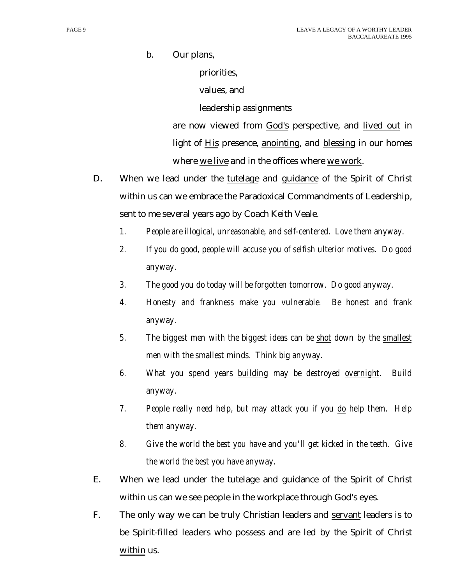b. Our plans,

priorities,

values, and

leadership assignments

are now viewed from God's perspective, and lived out in light of His presence, anointing, and blessing in our homes where we live and in the offices where we work.

- D. When we lead under the tutelage and guidance of the Spirit of Christ within us can we embrace the Paradoxical Commandments of Leadership, sent to me several years ago by Coach Keith Veale.
	- *1. People are illogical, unreasonable, and self-centered. Love them anyway.*
	- *2. If you do good, people will accuse you of selfish ulterior motives. Do good anyway.*
	- *3. The good you do today will be forgotten tomorrow. Do good anyway.*
	- *4. Honesty and frankness make you vulnerable. Be honest and frank anyway.*
	- *5. The biggest men with the biggest ideas can be shot down by the smallest men with the smallest minds. Think big anyway.*
	- *6. What you spend years building may be destroyed overnight. Build anyway.*
	- *7. People really need help, but may attack you if you do help them. Help them anyway.*
	- *8. Give the world the best you have and you'll get kicked in the teeth. Give the world the best you have anyway.*
- E. When we lead under the tutelage and guidance of the Spirit of Christ within us can we see people in the workplace through God's eyes.
- F. The only way we can be truly Christian leaders and servant leaders is to be Spirit-filled leaders who possess and are led by the Spirit of Christ <u>within</u> us.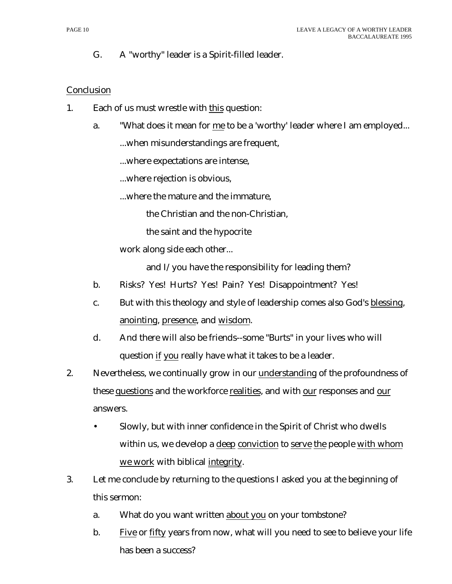G. A "worthy" leader is a Spirit-filled leader.

## Conclusion

- 1. Each of us must wrestle with this question:
	- a. "What does it mean for me to be a 'worthy' leader where I am employed...
		- ...when misunderstandings are frequent,
		- ...where expectations are intense,
		- ...where rejection is obvious,
		- ...where the mature and the immature,
			- the Christian and the non-Christian,
			- the saint and the hypocrite
		- work along side each other...
			- and I/you have the responsibility for leading them?
	- b. Risks? Yes! Hurts? Yes! Pain? Yes! Disappointment? Yes!
	- c. But with this theology and style of leadership comes also God's blessing, anointing, presence, and wisdom.
	- d. And there will also be friends--some "Burts" in your lives who will question if you really have what it takes to be a leader.
- 2. Nevertheless, we continually grow in our understanding of the profoundness of these questions and the workforce realities, and with our responses and our answers.
	- Slowly, but with inner confidence in the Spirit of Christ who dwells within us, we develop a deep conviction to serve the people with whom we work with biblical integrity.
- 3. Let me conclude by returning to the questions I asked you at the beginning of this sermon:
	- a. What do you want written about you on your tombstone?
	- b. Five or fifty years from now, what will you need to see to believe your life has been a success?